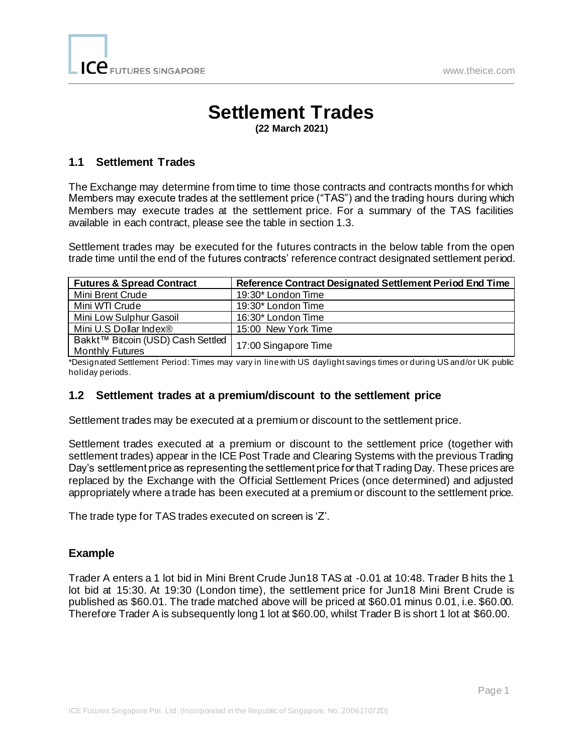# **Settlement Trades**

**(22 March 2021)**

## **1.1 Settlement Trades**

The Exchange may determine from time to time those contracts and contracts months for which Members may execute trades at the settlement price ("TAS") and the trading hours during which Members may execute trades at the settlement price. For a summary of the TAS facilities available in each contract, please see the table in section 1.3.

Settlement trades may be executed for the futures contracts in the below table from the open trade time until the end of the futures contracts' reference contract designated settlement period.

| <b>Futures &amp; Spread Contract</b>                        | Reference Contract Designated Settlement Period End Time |
|-------------------------------------------------------------|----------------------------------------------------------|
| Mini Brent Crude                                            | 19:30* London Time                                       |
| Mini WTI Crude                                              | 19:30* London Time                                       |
| Mini Low Sulphur Gasoil                                     | 16:30* London Time                                       |
| Mini U.S Dollar Index®                                      | 15:00 New York Time                                      |
| Bakkt™ Bitcoin (USD) Cash Settled<br><b>Monthly Futures</b> | 17:00 Singapore Time                                     |

\*Designated Settlement Period: Times may vary in line with US daylight savings times or during US and/or UK public holiday periods.

#### **1.2 Settlement trades at a premium/discount to the settlement price**

Settlement trades may be executed at a premium or discount to the settlement price.

Settlement trades executed at a premium or discount to the settlement price (together with settlement trades) appear in the ICE Post Trade and Clearing Systems with the previous Trading Day's settlement price as representing the settlement price for that Trading Day. These prices are replaced by the Exchange with the Official Settlement Prices (once determined) and adjusted appropriately where a trade has been executed at a premium or discount to the settlement price.

The trade type for TAS trades executed on screen is 'Z'.

#### **Example**

Trader A enters a 1 lot bid in Mini Brent Crude Jun18 TAS at -0.01 at 10:48. Trader B hits the 1 lot bid at 15:30. At 19:30 (London time), the settlement price for Jun18 Mini Brent Crude is published as \$60.01. The trade matched above will be priced at \$60.01 minus 0.01, i.e. \$60.00. Therefore Trader A is subsequently long 1 lot at \$60.00, whilst Trader B is short 1 lot at \$60.00.